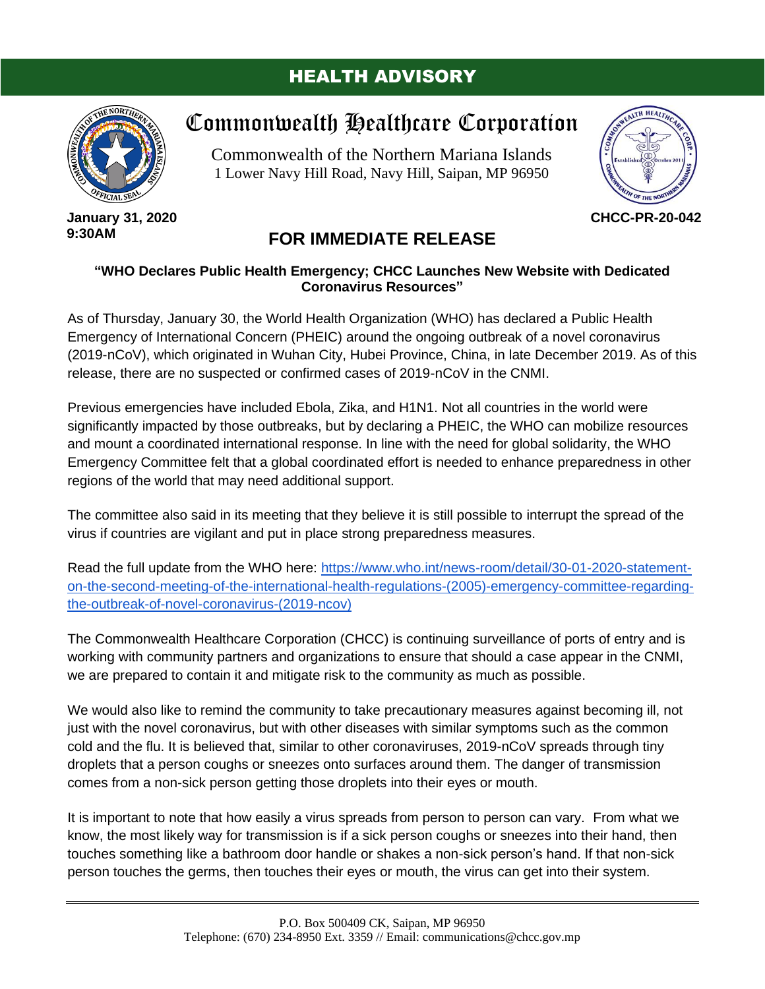## HEALTH ADVISORY



**January 31, 2020 9:30AM**

## Commonwealth Healthcare Corporation

Commonwealth of the Northern Mariana Islands 1 Lower Navy Hill Road, Navy Hill, Saipan, MP 96950



**CHCC-PR-20-042**

## **FOR IMMEDIATE RELEASE**

## **"WHO Declares Public Health Emergency; CHCC Launches New Website with Dedicated Coronavirus Resources"**

As of Thursday, January 30, the World Health Organization (WHO) has declared a Public Health Emergency of International Concern (PHEIC) around the ongoing outbreak of a novel coronavirus (2019-nCoV), which originated in Wuhan City, Hubei Province, China, in late December 2019. As of this release, there are no suspected or confirmed cases of 2019-nCoV in the CNMI.

Previous emergencies have included Ebola, Zika, and H1N1. Not all countries in the world were significantly impacted by those outbreaks, but by declaring a PHEIC, the WHO can mobilize resources and mount a coordinated international response. In line with the need for global solidarity, the WHO Emergency Committee felt that a global coordinated effort is needed to enhance preparedness in other regions of the world that may need additional support.

The committee also said in its meeting that they believe it is still possible to interrupt the spread of the virus if countries are vigilant and put in place strong preparedness measures.

Read the full update from the WHO here: [https://www.who.int/news-room/detail/30-01-2020-statement](https://www.who.int/news-room/detail/30-01-2020-statement-on-the-second-meeting-of-the-international-health-regulations-(2005)-emergency-committee-regarding-the-outbreak-of-novel-coronavirus-(2019-ncov))[on-the-second-meeting-of-the-international-health-regulations-\(2005\)-emergency-committee-regarding](https://www.who.int/news-room/detail/30-01-2020-statement-on-the-second-meeting-of-the-international-health-regulations-(2005)-emergency-committee-regarding-the-outbreak-of-novel-coronavirus-(2019-ncov))[the-outbreak-of-novel-coronavirus-\(2019-ncov\)](https://www.who.int/news-room/detail/30-01-2020-statement-on-the-second-meeting-of-the-international-health-regulations-(2005)-emergency-committee-regarding-the-outbreak-of-novel-coronavirus-(2019-ncov))

The Commonwealth Healthcare Corporation (CHCC) is continuing surveillance of ports of entry and is working with community partners and organizations to ensure that should a case appear in the CNMI, we are prepared to contain it and mitigate risk to the community as much as possible.

We would also like to remind the community to take precautionary measures against becoming ill, not just with the novel coronavirus, but with other diseases with similar symptoms such as the common cold and the flu. It is believed that, similar to other coronaviruses, 2019-nCoV spreads through tiny droplets that a person coughs or sneezes onto surfaces around them. The danger of transmission comes from a non-sick person getting those droplets into their eyes or mouth.

It is important to note that how easily a virus spreads from person to person can vary. From what we know, the most likely way for transmission is if a sick person coughs or sneezes into their hand, then touches something like a bathroom door handle or shakes a non-sick person's hand. If that non-sick person touches the germs, then touches their eyes or mouth, the virus can get into their system.